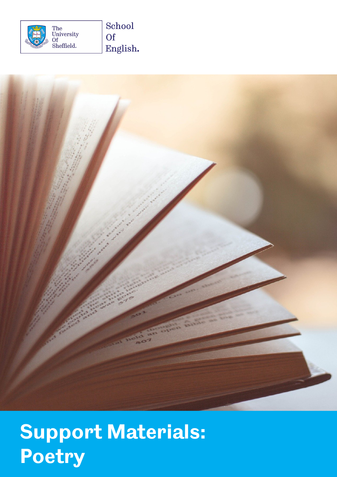



# **Support Materials: Poetry**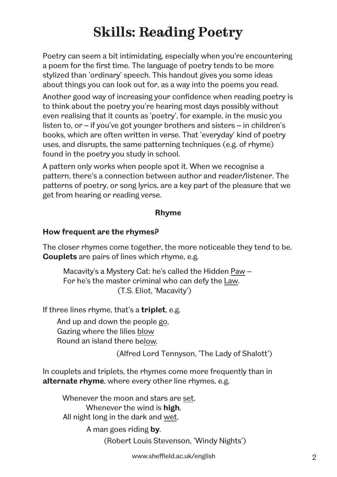# **Skills: Reading Poetry**

Poetry can seem a bit intimidating, especially when you're encountering a poem for the first time. The language of poetry tends to be more stylized than 'ordinary' speech. This handout gives you some ideas about things you can look out for, as a way into the poems you read.

Another good way of increasing your confidence when reading poetry is to think about the poetry you're hearing most days possibly without even realising that it counts as 'poetry', for example, in the music you listen to, or – if you've got younger brothers and sisters – in children's books, which are often written in verse. That 'everyday' kind of poetry uses, and disrupts, the same patterning techniques (e.g. of rhyme) found in the poetry you study in school.

A pattern only works when people spot it. When we recognise a pattern, there's a connection between author and reader/listener. The patterns of poetry, or song lyrics, are a key part of the pleasure that we get from hearing or reading verse.

#### **Rhyme**

#### **How frequent are the rhymes?**

The closer rhymes come together, the more noticeable they tend to be. **Couplets** are pairs of lines which rhyme, e.g.

Macavity's a Mystery Cat: he's called the Hidden Paw – For he's the master criminal who can defy the Law. (T.S. Eliot, 'Macavity')

If three lines rhyme, that's a **triplet**, e.g.

And up and down the people go, Gazing where the lilies blow Round an island there below*.* 

(Alfred Lord Tennyson, 'The Lady of Shalott')

In couplets and triplets, the rhymes come more frequently than in **alternate rhyme**, where every other line rhymes, e.g.

Whenever the moon and stars are set, Whenever the wind is **high***,* All night long in the dark and wet,

> A man goes riding **by***.*  (Robert Louis Stevenson, 'Windy Nights')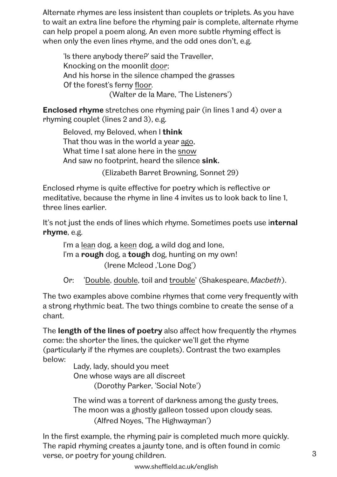Alternate rhymes are less insistent than couplets or triplets. As you have to wait an extra line before the rhyming pair is complete, alternate rhyme can help propel a poem along. An even more subtle rhyming effect is when only the even lines rhyme, and the odd ones don't, e.g.

'Is there anybody there?' said the Traveller, Knocking on the moonlit door; And his horse in the silence champed the grasses Of the forest's ferny floor*.*  (Walter de la Mare, 'The Listeners')

**Enclosed rhyme** stretches one rhyming pair (in lines 1 and 4) over a rhyming couplet (lines 2 and 3), e.g.

Beloved, my Beloved, when I **think** That thou was in the world a year ago, What time I sat alone here in the snow And saw no footprint, heard the silence **sink.**

(Elizabeth Barret Browning, Sonnet 29)

Enclosed rhyme is quite effective for poetry which is reflective or meditative, because the rhyme in line 4 invites us to look back to line 1, three lines earlier.

It's not just the ends of lines which rhyme. Sometimes poets use i**nternal rhyme**, e.g.

I'm a lean dog, a keen dog, a wild dog and lone, I'm a **rough** dog, a **tough** dog, hunting on my own! (Irene Mcleod ,'Lone Dog')

Or: 'Double, double, toil and trouble' (Shakespeare, Macbeth).

The two examples above combine rhymes that come very frequently with a strong rhythmic beat. The two things combine to create the sense of a chant.

The **length of the lines of poetry** also affect how frequently the rhymes come: the shorter the lines, the quicker we'll get the rhyme (particularly if the rhymes are couplets). Contrast the two examples below:

Lady, lady, should you meet One whose ways are all discreet (Dorothy Parker, 'Social Note')

The wind was a torrent of darkness among the gusty trees, The moon was a ghostly galleon tossed upon cloudy seas. (Alfred Noyes, 'The Highwayman')

verse, or poetry for young children. The same state of the state of  $\sim$  3 In the first example, the rhyming pair is completed much more quickly. The rapid rhyming creates a jaunty tone, and is often found in comic

www.sheffield.ac.uk/english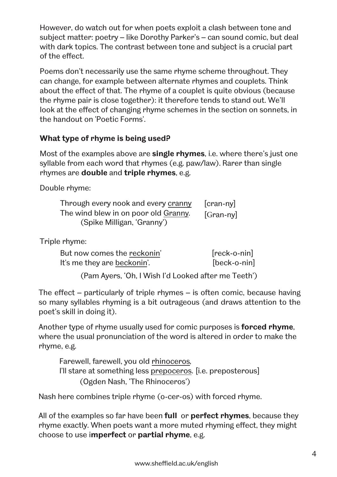However, do watch out for when poets exploit a clash between tone and subject matter: poetry – like Dorothy Parker's – can sound comic, but deal with dark topics. The contrast between tone and subject is a crucial part of the effect.

Poems don't necessarily use the same rhyme scheme throughout. They can change, for example between alternate rhymes and couplets. Think about the effect of that. The rhyme of a couplet is quite obvious (because the rhyme pair is close together): it therefore tends to stand out. We'll look at the effect of changing rhyme schemes in the section on sonnets, in the handout on 'Poetic Forms'.

## **What type of rhyme is being used?**

Most of the examples above are **single rhymes**, i.e. where there's just one syllable from each word that rhymes (e.g. paw/law). Rarer than single rhymes are **double** and **triple rhymes**, e.g.

Double rhyme:

| Through every nook and every cranny  | [cran-ny] |
|--------------------------------------|-----------|
| The wind blew in on poor old Granny. | [Gran-ny] |
| (Spike Milligan, 'Granny')           |           |

Triple rhyme:

| But now comes the reckonin' | $[reck-o-nin]$ |
|-----------------------------|----------------|
| It's me they are beckonin'. | $[beck-o-nin]$ |

(Pam Ayers, 'Oh, I Wish I'd Looked after me Teeth')

The effect – particularly of triple rhymes – is often comic, because having so many syllables rhyming is a bit outrageous (and draws attention to the poet's skill in doing it).

Another type of rhyme usually used for comic purposes is **forced rhyme**, where the usual pronunciation of the word is altered in order to make the rhyme, e.g.

Farewell, farewell, you old rhinoceros*,* I'll stare at something less prepoceros. [i.e. preposterous] (Ogden Nash, 'The Rhinoceros')

Nash here combines triple rhyme (o-cer-os) with forced rhyme.

All of the examples so far have been **full** or **perfect rhymes**, because they rhyme exactly. When poets want a more muted rhyming effect, they might choose to use i**mperfect** or **partial rhyme**, e.g.